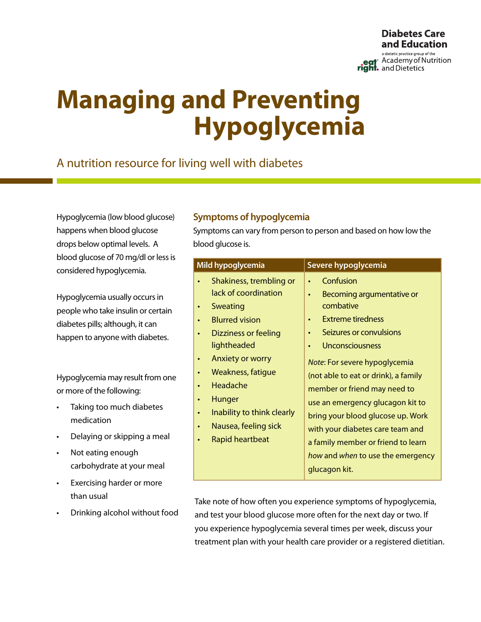

# **Managing and Preventing Hypoglycemia**

## A nutrition resource for living well with diabetes

Hypoglycemia (low blood glucose) happens when blood glucose drops below optimal levels. A blood glucose of 70 mg/dl or less is considered hypoglycemia.

Hypoglycemia usually occurs in people who take insulin or certain diabetes pills; although, it can happen to anyone with diabetes.

Hypoglycemia may result from one or more of the following:

- • Taking too much diabetes medication
- Delaying or skipping a meal
- Not eating enough carbohydrate at your meal
- Exercising harder or more than usual
- Drinking alcohol without food

## **Symptoms of hypoglycemia**

Symptoms can vary from person to person and based on how low the blood glucose is.

| Mild hypoglycemia                                                                                                                                                                                                                                                                                                                                  | Severe hypoglycemia                                                                                                                                                                                                                                                                                                                                                                                                                                                                    |
|----------------------------------------------------------------------------------------------------------------------------------------------------------------------------------------------------------------------------------------------------------------------------------------------------------------------------------------------------|----------------------------------------------------------------------------------------------------------------------------------------------------------------------------------------------------------------------------------------------------------------------------------------------------------------------------------------------------------------------------------------------------------------------------------------------------------------------------------------|
| Shakiness, trembling or<br>lack of coordination<br>Sweating<br>$\bullet$<br><b>Blurred vision</b><br>Dizziness or feeling<br>$\bullet$<br>lightheaded<br><b>Anxiety or worry</b><br>$\bullet$<br>Weakness, fatique<br>Headache<br>Hunger<br>Inability to think clearly<br>$\bullet$<br>Nausea, feeling sick<br>$\bullet$<br><b>Rapid heartbeat</b> | Confusion<br>$\bullet$<br>Becoming argumentative or<br>$\bullet$<br>combative<br><b>Extreme tiredness</b><br>Seizures or convulsions<br>Unconsciousness<br>$\bullet$<br>Note: For severe hypoglycemia<br>(not able to eat or drink), a family<br>member or friend may need to<br>use an emergency glucagon kit to<br>bring your blood glucose up. Work<br>with your diabetes care team and<br>a family member or friend to learn<br>how and when to use the emergency<br>glucagon kit. |
|                                                                                                                                                                                                                                                                                                                                                    |                                                                                                                                                                                                                                                                                                                                                                                                                                                                                        |

Take note of how often you experience symptoms of hypoglycemia, and test your blood glucose more often for the next day or two. If you experience hypoglycemia several times per week, discuss your treatment plan with your health care provider or a registered dietitian.